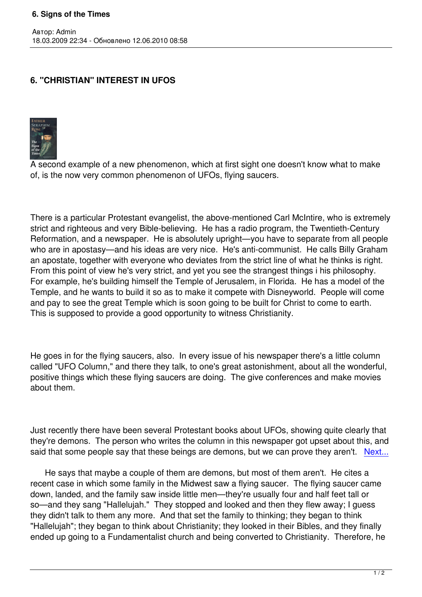## **6. "CHRISTIAN" INTEREST IN UFOS**



Автор: Admin

A second example of a new phenomenon, which at first sight one doesn't know what to make of, is the now very common phenomenon of UFOs, flying saucers.

There is a particular Protestant evangelist, the above-mentioned Carl McIntire, who is extremely strict and righteous and very Bible-believing. He has a radio program, the Twentieth-Century Reformation, and a newspaper. He is absolutely upright—you have to separate from all people who are in apostasy—and his ideas are very nice. He's anti-communist. He calls Billy Graham an apostate, together with everyone who deviates from the strict line of what he thinks is right. From this point of view he's very strict, and yet you see the strangest things i his philosophy. For example, he's building himself the Temple of Jerusalem, in Florida. He has a model of the Temple, and he wants to build it so as to make it compete with Disneyworld. People will come and pay to see the great Temple which is soon going to be built for Christ to come to earth. This is supposed to provide a good opportunity to witness Christianity.

He goes in for the flying saucers, also. In every issue of his newspaper there's a little column called "UFO Column," and there they talk, to one's great astonishment, about all the wonderful, positive things which these flying saucers are doing. The give conferences and make movies about them.

Just recently there have been several Protestant books about UFOs, showing quite clearly that they're demons. The person who writes the column in this newspaper got upset about this, and said that some people say that these beings are demons, but we can prove they aren't. Next...

 He says that maybe a couple of them are demons, but most of them aren't. He cites a recent case in which some family in the Midwest saw a flying saucer. The flying saucer [came](index.php?option=com_content&task=view&id=439&Itemid=40) down, landed, and the family saw inside little men—they're usually four and half feet tall or so—and they sang "Hallelujah." They stopped and looked and then they flew away; I guess they didn't talk to them any more. And that set the family to thinking; they began to think "Hallelujah"; they began to think about Christianity; they looked in their Bibles, and they finally ended up going to a Fundamentalist church and being converted to Christianity. Therefore, he